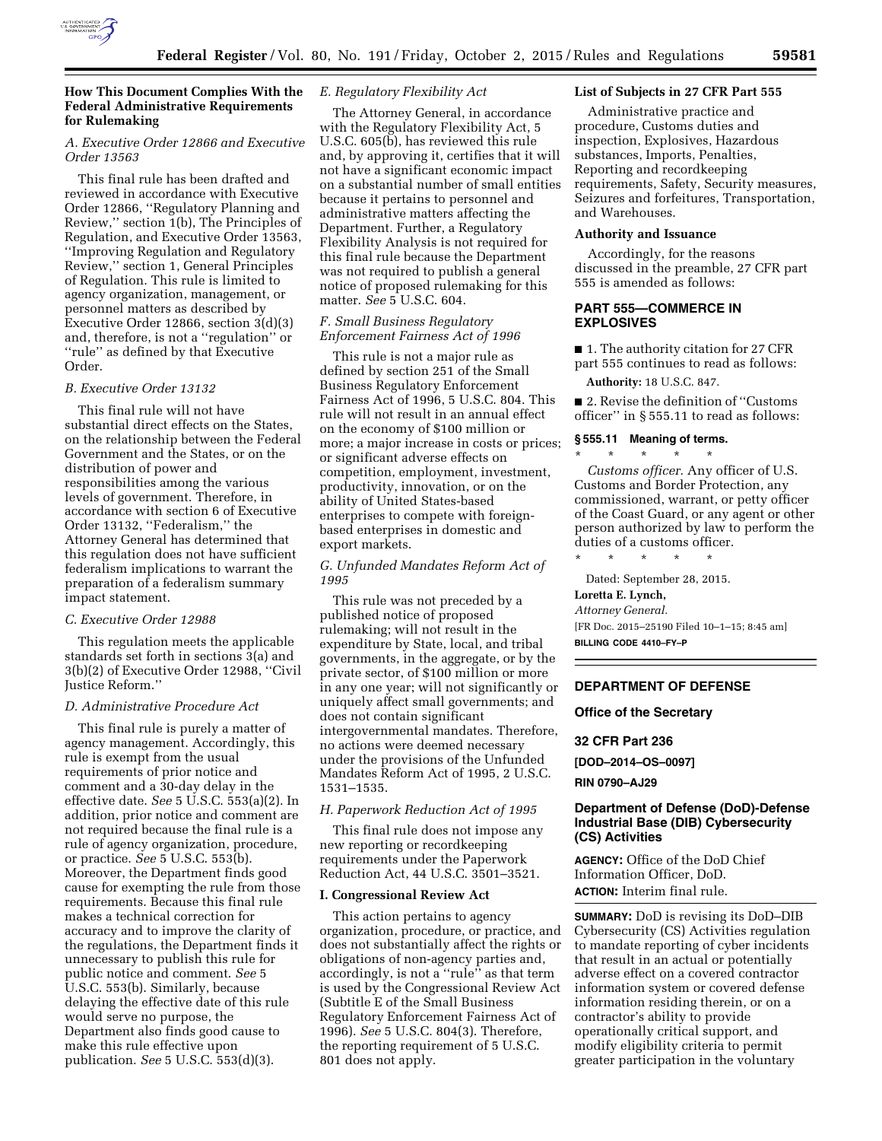

# **How This Document Complies With the Federal Administrative Requirements for Rulemaking**

# *A. Executive Order 12866 and Executive Order 13563*

This final rule has been drafted and reviewed in accordance with Executive Order 12866, ''Regulatory Planning and Review,'' section 1(b), The Principles of Regulation, and Executive Order 13563, ''Improving Regulation and Regulatory Review,'' section 1, General Principles of Regulation. This rule is limited to agency organization, management, or personnel matters as described by Executive Order 12866, section 3(d)(3) and, therefore, is not a ''regulation'' or ''rule'' as defined by that Executive Order.

# *B. Executive Order 13132*

This final rule will not have substantial direct effects on the States, on the relationship between the Federal Government and the States, or on the distribution of power and responsibilities among the various levels of government. Therefore, in accordance with section 6 of Executive Order 13132, ''Federalism,'' the Attorney General has determined that this regulation does not have sufficient federalism implications to warrant the preparation of a federalism summary impact statement.

# *C. Executive Order 12988*

This regulation meets the applicable standards set forth in sections 3(a) and 3(b)(2) of Executive Order 12988, ''Civil Justice Reform.''

#### *D. Administrative Procedure Act*

This final rule is purely a matter of agency management. Accordingly, this rule is exempt from the usual requirements of prior notice and comment and a 30-day delay in the effective date. *See* 5 U.S.C. 553(a)(2). In addition, prior notice and comment are not required because the final rule is a rule of agency organization, procedure, or practice. *See* 5 U.S.C. 553(b). Moreover, the Department finds good cause for exempting the rule from those requirements. Because this final rule makes a technical correction for accuracy and to improve the clarity of the regulations, the Department finds it unnecessary to publish this rule for public notice and comment. *See* 5 U.S.C. 553(b). Similarly, because delaying the effective date of this rule would serve no purpose, the Department also finds good cause to make this rule effective upon publication. *See* 5 U.S.C. 553(d)(3).

# *E. Regulatory Flexibility Act*

The Attorney General, in accordance with the Regulatory Flexibility Act, 5 U.S.C. 605(b), has reviewed this rule and, by approving it, certifies that it will not have a significant economic impact on a substantial number of small entities because it pertains to personnel and administrative matters affecting the Department. Further, a Regulatory Flexibility Analysis is not required for this final rule because the Department was not required to publish a general notice of proposed rulemaking for this matter. *See* 5 U.S.C. 604.

# *F. Small Business Regulatory Enforcement Fairness Act of 1996*

This rule is not a major rule as defined by section 251 of the Small Business Regulatory Enforcement Fairness Act of 1996, 5 U.S.C. 804. This rule will not result in an annual effect on the economy of \$100 million or more; a major increase in costs or prices; or significant adverse effects on competition, employment, investment, productivity, innovation, or on the ability of United States-based enterprises to compete with foreignbased enterprises in domestic and export markets.

# *G. Unfunded Mandates Reform Act of 1995*

This rule was not preceded by a published notice of proposed rulemaking; will not result in the expenditure by State, local, and tribal governments, in the aggregate, or by the private sector, of \$100 million or more in any one year; will not significantly or uniquely affect small governments; and does not contain significant intergovernmental mandates. Therefore, no actions were deemed necessary under the provisions of the Unfunded Mandates Reform Act of 1995, 2 U.S.C. 1531–1535.

# *H. Paperwork Reduction Act of 1995*

This final rule does not impose any new reporting or recordkeeping requirements under the Paperwork Reduction Act, 44 U.S.C. 3501–3521.

#### **I. Congressional Review Act**

This action pertains to agency organization, procedure, or practice, and does not substantially affect the rights or obligations of non-agency parties and, accordingly, is not a "rule" as that term is used by the Congressional Review Act (Subtitle E of the Small Business Regulatory Enforcement Fairness Act of 1996). *See* 5 U.S.C. 804(3). Therefore, the reporting requirement of 5 U.S.C. 801 does not apply.

## **List of Subjects in 27 CFR Part 555**

Administrative practice and procedure, Customs duties and inspection, Explosives, Hazardous substances, Imports, Penalties, Reporting and recordkeeping requirements, Safety, Security measures, Seizures and forfeitures, Transportation, and Warehouses.

# **Authority and Issuance**

Accordingly, for the reasons discussed in the preamble, 27 CFR part 555 is amended as follows:

## **PART 555—COMMERCE IN EXPLOSIVES**

■ 1. The authority citation for 27 CFR part 555 continues to read as follows:

**Authority:** 18 U.S.C. 847.

■ 2. Revise the definition of "Customs officer'' in § 555.11 to read as follows:

#### **§ 555.11 Meaning of terms.**  \* \* \* \* \*

*Customs officer.* Any officer of U.S. Customs and Border Protection, any commissioned, warrant, or petty officer of the Coast Guard, or any agent or other person authorized by law to perform the duties of a customs officer.

\* \* \* \* \* Dated: September 28, 2015.

# **Loretta E. Lynch,**

*Attorney General.* 

[FR Doc. 2015–25190 Filed 10–1–15; 8:45 am] **BILLING CODE 4410–FY–P** 

### **DEPARTMENT OF DEFENSE**

#### **Office of the Secretary**

**32 CFR Part 236** 

**[DOD–2014–OS–0097]** 

**RIN 0790–AJ29** 

# **Department of Defense (DoD)-Defense Industrial Base (DIB) Cybersecurity (CS) Activities**

**AGENCY:** Office of the DoD Chief Information Officer, DoD. **ACTION:** Interim final rule.

**SUMMARY:** DoD is revising its DoD–DIB

Cybersecurity (CS) Activities regulation to mandate reporting of cyber incidents that result in an actual or potentially adverse effect on a covered contractor information system or covered defense information residing therein, or on a contractor's ability to provide operationally critical support, and modify eligibility criteria to permit greater participation in the voluntary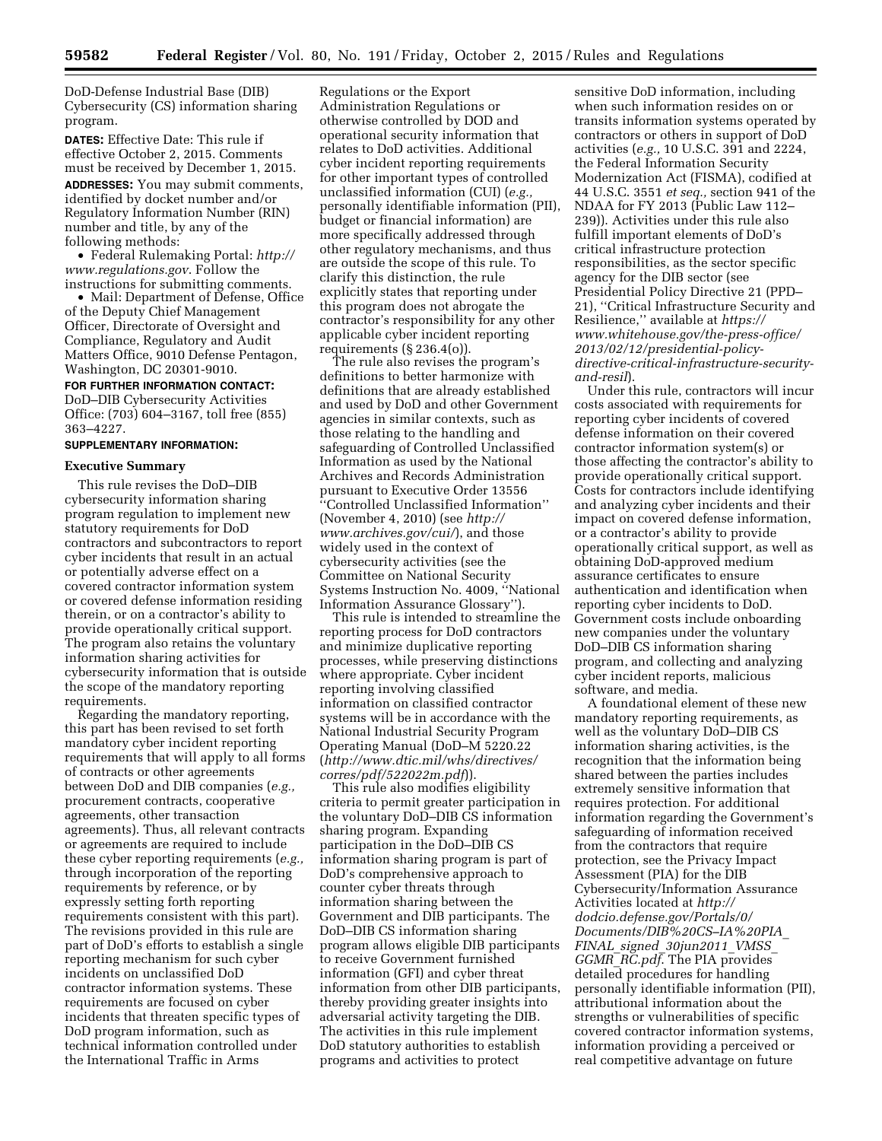DoD-Defense Industrial Base (DIB) Cybersecurity (CS) information sharing program.

**DATES:** Effective Date: This rule if effective October 2, 2015. Comments must be received by December 1, 2015. **ADDRESSES:** You may submit comments, identified by docket number and/or Regulatory Information Number (RIN) number and title, by any of the following methods:

• Federal Rulemaking Portal: *[http://](http://www.regulations.gov)  [www.regulations.gov](http://www.regulations.gov)*. Follow the instructions for submitting comments.

• Mail: Department of Defense, Office of the Deputy Chief Management Officer, Directorate of Oversight and Compliance, Regulatory and Audit Matters Office, 9010 Defense Pentagon, Washington, DC 20301-9010.

# **FOR FURTHER INFORMATION CONTACT:**

DoD–DIB Cybersecurity Activities Office: (703) 604–3167, toll free (855) 363–4227.

### **SUPPLEMENTARY INFORMATION:**

#### **Executive Summary**

This rule revises the DoD–DIB cybersecurity information sharing program regulation to implement new statutory requirements for DoD contractors and subcontractors to report cyber incidents that result in an actual or potentially adverse effect on a covered contractor information system or covered defense information residing therein, or on a contractor's ability to provide operationally critical support. The program also retains the voluntary information sharing activities for cybersecurity information that is outside the scope of the mandatory reporting requirements.

Regarding the mandatory reporting, this part has been revised to set forth mandatory cyber incident reporting requirements that will apply to all forms of contracts or other agreements between DoD and DIB companies (*e.g.,*  procurement contracts, cooperative agreements, other transaction agreements). Thus, all relevant contracts or agreements are required to include these cyber reporting requirements (*e.g.,*  through incorporation of the reporting requirements by reference, or by expressly setting forth reporting requirements consistent with this part). The revisions provided in this rule are part of DoD's efforts to establish a single reporting mechanism for such cyber incidents on unclassified DoD contractor information systems. These requirements are focused on cyber incidents that threaten specific types of DoD program information, such as technical information controlled under the International Traffic in Arms

Regulations or the Export Administration Regulations or otherwise controlled by DOD and operational security information that relates to DoD activities. Additional cyber incident reporting requirements for other important types of controlled unclassified information (CUI) (*e.g.,*  personally identifiable information (PII), budget or financial information) are more specifically addressed through other regulatory mechanisms, and thus are outside the scope of this rule. To clarify this distinction, the rule explicitly states that reporting under this program does not abrogate the contractor's responsibility for any other applicable cyber incident reporting requirements  $(\S 236.4(0))$ .

The rule also revises the program's definitions to better harmonize with definitions that are already established and used by DoD and other Government agencies in similar contexts, such as those relating to the handling and safeguarding of Controlled Unclassified Information as used by the National Archives and Records Administration pursuant to Executive Order 13556 ''Controlled Unclassified Information'' (November 4, 2010) (see *[http://](http://www.archives.gov/cui/) [www.archives.gov/cui/](http://www.archives.gov/cui/)*), and those widely used in the context of cybersecurity activities (see the Committee on National Security Systems Instruction No. 4009, ''National Information Assurance Glossary'').

This rule is intended to streamline the reporting process for DoD contractors and minimize duplicative reporting processes, while preserving distinctions where appropriate. Cyber incident reporting involving classified information on classified contractor systems will be in accordance with the National Industrial Security Program Operating Manual (DoD–M 5220.22 (*[http://www.dtic.mil/whs/directives/](http://www.dtic.mil/whs/directives/corres/pdf/522022m.pdf) [corres/pdf/522022m.pdf](http://www.dtic.mil/whs/directives/corres/pdf/522022m.pdf)*)).

This rule also modifies eligibility criteria to permit greater participation in the voluntary DoD–DIB CS information sharing program. Expanding participation in the DoD–DIB CS information sharing program is part of DoD's comprehensive approach to counter cyber threats through information sharing between the Government and DIB participants. The DoD–DIB CS information sharing program allows eligible DIB participants to receive Government furnished information (GFI) and cyber threat information from other DIB participants, thereby providing greater insights into adversarial activity targeting the DIB. The activities in this rule implement DoD statutory authorities to establish programs and activities to protect

sensitive DoD information, including when such information resides on or transits information systems operated by contractors or others in support of DoD activities (*e.g.,* 10 U.S.C. 391 and 2224, the Federal Information Security Modernization Act (FISMA), codified at 44 U.S.C. 3551 *et seq.,* section 941 of the NDAA for FY 2013 (Public Law 112– 239)). Activities under this rule also fulfill important elements of DoD's critical infrastructure protection responsibilities, as the sector specific agency for the DIB sector (see Presidential Policy Directive 21 (PPD– 21), ''Critical Infrastructure Security and Resilience,'' available at *[https://](https://www.whitehouse.gov/the-press-office/2013/02/12/presidential-policy-directive-critical-infrastructure-security-and-resil) www.whitehouse.gov/the-press-office/ 2013/02/12/presidential-policy[directive-critical-infrastructure-security](https://www.whitehouse.gov/the-press-office/2013/02/12/presidential-policy-directive-critical-infrastructure-security-and-resil)and-resil*).

Under this rule, contractors will incur costs associated with requirements for reporting cyber incidents of covered defense information on their covered contractor information system(s) or those affecting the contractor's ability to provide operationally critical support. Costs for contractors include identifying and analyzing cyber incidents and their impact on covered defense information, or a contractor's ability to provide operationally critical support, as well as obtaining DoD-approved medium assurance certificates to ensure authentication and identification when reporting cyber incidents to DoD. Government costs include onboarding new companies under the voluntary DoD–DIB CS information sharing program, and collecting and analyzing cyber incident reports, malicious software, and media.

A foundational element of these new mandatory reporting requirements, as well as the voluntary DoD–DIB CS information sharing activities, is the recognition that the information being shared between the parties includes extremely sensitive information that requires protection. For additional information regarding the Government's safeguarding of information received from the contractors that require protection, see the Privacy Impact Assessment (PIA) for the DIB Cybersecurity/Information Assurance Activities located at *[http://](http://dodcio.defense.gov/Portals/0/Documents/DIB%20CS-IA%20PIA_FINAL_signed_30jun2011_VMSS_GGMR_RC.pdf) [dodcio.defense.gov/Portals/0/](http://dodcio.defense.gov/Portals/0/Documents/DIB%20CS-IA%20PIA_FINAL_signed_30jun2011_VMSS_GGMR_RC.pdf) [Documents/DIB%20CS–IA%20PIA](http://dodcio.defense.gov/Portals/0/Documents/DIB%20CS-IA%20PIA_FINAL_signed_30jun2011_VMSS_GGMR_RC.pdf)*\_ *FINAL*\_*signed*\_*[30jun2011](http://dodcio.defense.gov/Portals/0/Documents/DIB%20CS-IA%20PIA_FINAL_signed_30jun2011_VMSS_GGMR_RC.pdf)*\_*VMSS*\_ *GGMR*\_*[RC.pdf](http://dodcio.defense.gov/Portals/0/Documents/DIB%20CS-IA%20PIA_FINAL_signed_30jun2011_VMSS_GGMR_RC.pdf)*. The PIA provides detailed procedures for handling personally identifiable information (PII), attributional information about the strengths or vulnerabilities of specific covered contractor information systems, information providing a perceived or real competitive advantage on future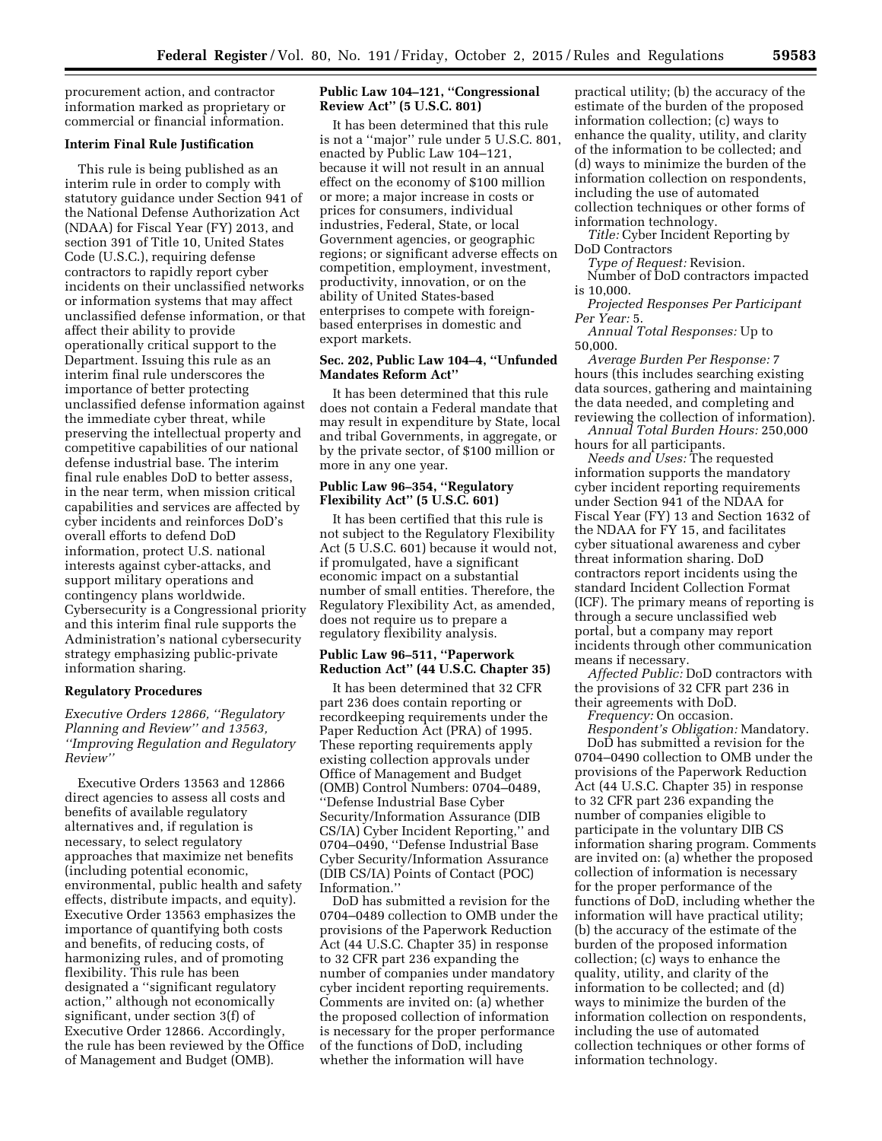procurement action, and contractor information marked as proprietary or commercial or financial information.

### **Interim Final Rule Justification**

This rule is being published as an interim rule in order to comply with statutory guidance under Section 941 of the National Defense Authorization Act (NDAA) for Fiscal Year (FY) 2013, and section 391 of Title 10, United States Code (U.S.C.), requiring defense contractors to rapidly report cyber incidents on their unclassified networks or information systems that may affect unclassified defense information, or that affect their ability to provide operationally critical support to the Department. Issuing this rule as an interim final rule underscores the importance of better protecting unclassified defense information against the immediate cyber threat, while preserving the intellectual property and competitive capabilities of our national defense industrial base. The interim final rule enables DoD to better assess, in the near term, when mission critical capabilities and services are affected by cyber incidents and reinforces DoD's overall efforts to defend DoD information, protect U.S. national interests against cyber-attacks, and support military operations and contingency plans worldwide. Cybersecurity is a Congressional priority and this interim final rule supports the Administration's national cybersecurity strategy emphasizing public-private information sharing.

### **Regulatory Procedures**

*Executive Orders 12866, ''Regulatory Planning and Review'' and 13563, ''Improving Regulation and Regulatory Review''* 

Executive Orders 13563 and 12866 direct agencies to assess all costs and benefits of available regulatory alternatives and, if regulation is necessary, to select regulatory approaches that maximize net benefits (including potential economic, environmental, public health and safety effects, distribute impacts, and equity). Executive Order 13563 emphasizes the importance of quantifying both costs and benefits, of reducing costs, of harmonizing rules, and of promoting flexibility. This rule has been designated a ''significant regulatory action,'' although not economically significant, under section 3(f) of Executive Order 12866. Accordingly, the rule has been reviewed by the Office of Management and Budget (OMB).

## **Public Law 104–121, ''Congressional Review Act'' (5 U.S.C. 801)**

It has been determined that this rule is not a ''major'' rule under 5 U.S.C. 801, enacted by Public Law 104–121, because it will not result in an annual effect on the economy of \$100 million or more; a major increase in costs or prices for consumers, individual industries, Federal, State, or local Government agencies, or geographic regions; or significant adverse effects on competition, employment, investment, productivity, innovation, or on the ability of United States-based enterprises to compete with foreignbased enterprises in domestic and export markets.

### **Sec. 202, Public Law 104–4, ''Unfunded Mandates Reform Act''**

It has been determined that this rule does not contain a Federal mandate that may result in expenditure by State, local and tribal Governments, in aggregate, or by the private sector, of \$100 million or more in any one year.

# **Public Law 96–354, ''Regulatory Flexibility Act'' (5 U.S.C. 601)**

It has been certified that this rule is not subject to the Regulatory Flexibility Act (5 U.S.C. 601) because it would not, if promulgated, have a significant economic impact on a substantial number of small entities. Therefore, the Regulatory Flexibility Act, as amended, does not require us to prepare a regulatory flexibility analysis.

# **Public Law 96–511, ''Paperwork Reduction Act'' (44 U.S.C. Chapter 35)**

It has been determined that 32 CFR part 236 does contain reporting or recordkeeping requirements under the Paper Reduction Act (PRA) of 1995. These reporting requirements apply existing collection approvals under Office of Management and Budget (OMB) Control Numbers: 0704–0489, ''Defense Industrial Base Cyber Security/Information Assurance (DIB CS/IA) Cyber Incident Reporting,'' and 0704–0490, ''Defense Industrial Base Cyber Security/Information Assurance (DIB CS/IA) Points of Contact (POC) Information.''

DoD has submitted a revision for the 0704–0489 collection to OMB under the provisions of the Paperwork Reduction Act (44 U.S.C. Chapter 35) in response to 32 CFR part 236 expanding the number of companies under mandatory cyber incident reporting requirements. Comments are invited on: (a) whether the proposed collection of information is necessary for the proper performance of the functions of DoD, including whether the information will have

practical utility; (b) the accuracy of the estimate of the burden of the proposed information collection; (c) ways to enhance the quality, utility, and clarity of the information to be collected; and (d) ways to minimize the burden of the information collection on respondents, including the use of automated collection techniques or other forms of information technology.

*Title:* Cyber Incident Reporting by DoD Contractors

*Type of Request:* Revision.

Number of DoD contractors impacted is 10,000.

*Projected Responses Per Participant Per Year:* 5.

*Annual Total Responses:* Up to 50,000.

*Average Burden Per Response:* 7 hours (this includes searching existing data sources, gathering and maintaining the data needed, and completing and reviewing the collection of information).

*Annual Total Burden Hours:* 250,000 hours for all participants.

*Needs and Uses:* The requested information supports the mandatory cyber incident reporting requirements under Section 941 of the NDAA for Fiscal Year (FY) 13 and Section 1632 of the NDAA for FY 15, and facilitates cyber situational awareness and cyber threat information sharing. DoD contractors report incidents using the standard Incident Collection Format (ICF). The primary means of reporting is through a secure unclassified web portal, but a company may report incidents through other communication means if necessary.

*Affected Public:* DoD contractors with the provisions of 32 CFR part 236 in their agreements with DoD.

*Frequency:* On occasion.

*Respondent's Obligation:* Mandatory. DoD has submitted a revision for the 0704–0490 collection to OMB under the provisions of the Paperwork Reduction Act (44 U.S.C. Chapter 35) in response to 32 CFR part 236 expanding the number of companies eligible to participate in the voluntary DIB CS information sharing program. Comments are invited on: (a) whether the proposed collection of information is necessary for the proper performance of the functions of DoD, including whether the information will have practical utility; (b) the accuracy of the estimate of the burden of the proposed information collection; (c) ways to enhance the quality, utility, and clarity of the information to be collected; and (d) ways to minimize the burden of the information collection on respondents, including the use of automated collection techniques or other forms of information technology.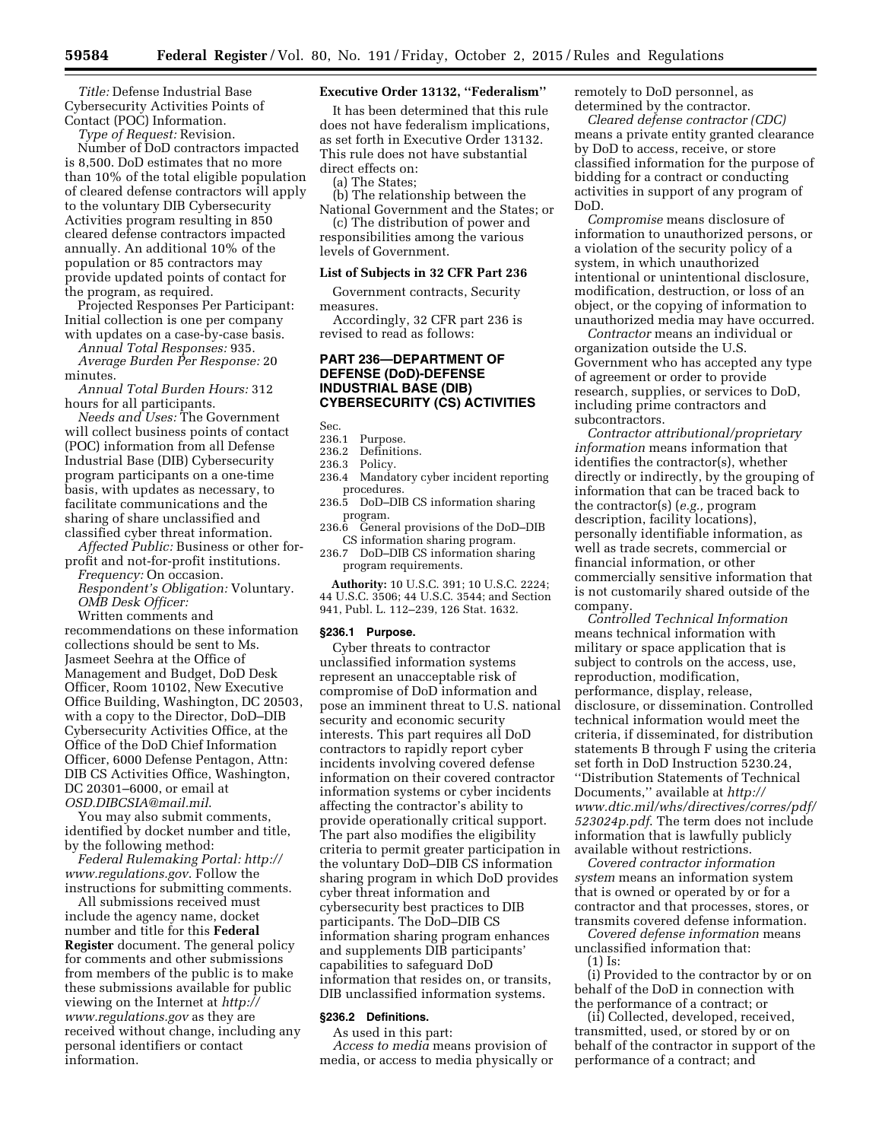*Title:* Defense Industrial Base Cybersecurity Activities Points of Contact (POC) Information.

*Type of Request:* Revision.

Number of DoD contractors impacted is 8,500. DoD estimates that no more than 10% of the total eligible population of cleared defense contractors will apply to the voluntary DIB Cybersecurity Activities program resulting in 850 cleared defense contractors impacted annually. An additional 10% of the population or 85 contractors may provide updated points of contact for the program, as required.

Projected Responses Per Participant: Initial collection is one per company with updates on a case-by-case basis.

*Annual Total Responses:* 935.

*Average Burden Per Response:* 20 minutes.

*Annual Total Burden Hours:* 312 hours for all participants.

*Needs and Uses:* The Government will collect business points of contact (POC) information from all Defense Industrial Base (DIB) Cybersecurity program participants on a one-time basis, with updates as necessary, to facilitate communications and the sharing of share unclassified and classified cyber threat information.

*Affected Public:* Business or other forprofit and not-for-profit institutions.

*Frequency:* On occasion. *Respondent's Obligation:* Voluntary. *OMB Desk Officer:* 

Written comments and

recommendations on these information collections should be sent to Ms. Jasmeet Seehra at the Office of Management and Budget, DoD Desk Officer, Room 10102, New Executive Office Building, Washington, DC 20503, with a copy to the Director, DoD–DIB Cybersecurity Activities Office, at the Office of the DoD Chief Information Officer, 6000 Defense Pentagon, Attn: DIB CS Activities Office, Washington, DC 20301–6000, or email at *[OSD.DIBCSIA@mail.mil](mailto:OSD.DIBCSIA@mail.mil)*.

You may also submit comments, identified by docket number and title, by the following method:

*Federal Rulemaking Portal: [http://](http://www.regulations.gov) [www.regulations.gov](http://www.regulations.gov)*. Follow the instructions for submitting comments.

All submissions received must include the agency name, docket number and title for this **Federal Register** document. The general policy for comments and other submissions from members of the public is to make these submissions available for public viewing on the Internet at *[http://](http://www.regulations.gov) [www.regulations.gov](http://www.regulations.gov)* as they are received without change, including any personal identifiers or contact information.

#### **Executive Order 13132, ''Federalism''**

It has been determined that this rule does not have federalism implications, as set forth in Executive Order 13132. This rule does not have substantial direct effects on:

(a) The States;

(b) The relationship between the National Government and the States; or

(c) The distribution of power and responsibilities among the various levels of Government.

### **List of Subjects in 32 CFR Part 236**

Government contracts, Security measures.

Accordingly, 32 CFR part 236 is revised to read as follows:

# **PART 236—DEPARTMENT OF DEFENSE (DoD)-DEFENSE INDUSTRIAL BASE (DIB) CYBERSECURITY (CS) ACTIVITIES**

Sec.

- 236.1 Purpose.
- 236.2 Definitions.<br>236.3 Policy.
- Policy.
- 236.4 Mandatory cyber incident reporting procedures.
- 236.5 DoD–DIB CS information sharing program.
- 236.6 General provisions of the DoD–DIB CS information sharing program.
- 236.7 DoD–DIB CS information sharing program requirements.

**Authority:** 10 U.S.C. 391; 10 U.S.C. 2224; 44 U.S.C. 3506; 44 U.S.C. 3544; and Section 941, Publ. L. 112–239, 126 Stat. 1632.

#### **§236.1 Purpose.**

Cyber threats to contractor unclassified information systems represent an unacceptable risk of compromise of DoD information and pose an imminent threat to U.S. national security and economic security interests. This part requires all DoD contractors to rapidly report cyber incidents involving covered defense information on their covered contractor information systems or cyber incidents affecting the contractor's ability to provide operationally critical support. The part also modifies the eligibility criteria to permit greater participation in the voluntary DoD–DIB CS information sharing program in which DoD provides cyber threat information and cybersecurity best practices to DIB participants. The DoD–DIB CS information sharing program enhances and supplements DIB participants' capabilities to safeguard DoD information that resides on, or transits, DIB unclassified information systems.

#### **§236.2 Definitions.**

As used in this part:

*Access to media* means provision of media, or access to media physically or remotely to DoD personnel, as determined by the contractor.

*Cleared defense contractor (CDC)*  means a private entity granted clearance by DoD to access, receive, or store classified information for the purpose of bidding for a contract or conducting activities in support of any program of DoD.

*Compromise* means disclosure of information to unauthorized persons, or a violation of the security policy of a system, in which unauthorized intentional or unintentional disclosure, modification, destruction, or loss of an object, or the copying of information to unauthorized media may have occurred.

*Contractor* means an individual or organization outside the U.S. Government who has accepted any type of agreement or order to provide research, supplies, or services to DoD, including prime contractors and subcontractors.

*Contractor attributional/proprietary information* means information that identifies the contractor(s), whether directly or indirectly, by the grouping of information that can be traced back to the contractor(s) (*e.g.,* program description, facility locations), personally identifiable information, as well as trade secrets, commercial or financial information, or other commercially sensitive information that is not customarily shared outside of the company.

*Controlled Technical Information*  means technical information with military or space application that is subject to controls on the access, use, reproduction, modification, performance, display, release, disclosure, or dissemination. Controlled technical information would meet the criteria, if disseminated, for distribution statements B through F using the criteria set forth in DoD Instruction 5230.24, ''Distribution Statements of Technical Documents,'' available at *[http://](http://www.dtic.mil/whs/directives/corres/pdf/523024p.pdf) [www.dtic.mil/whs/directives/corres/pdf/](http://www.dtic.mil/whs/directives/corres/pdf/523024p.pdf) [523024p.pdf](http://www.dtic.mil/whs/directives/corres/pdf/523024p.pdf)*. The term does not include information that is lawfully publicly available without restrictions.

*Covered contractor information system* means an information system that is owned or operated by or for a contractor and that processes, stores, or transmits covered defense information.

*Covered defense information* means unclassified information that: (1) Is:

(i) Provided to the contractor by or on behalf of the DoD in connection with the performance of a contract; or

(ii) Collected, developed, received, transmitted, used, or stored by or on behalf of the contractor in support of the performance of a contract; and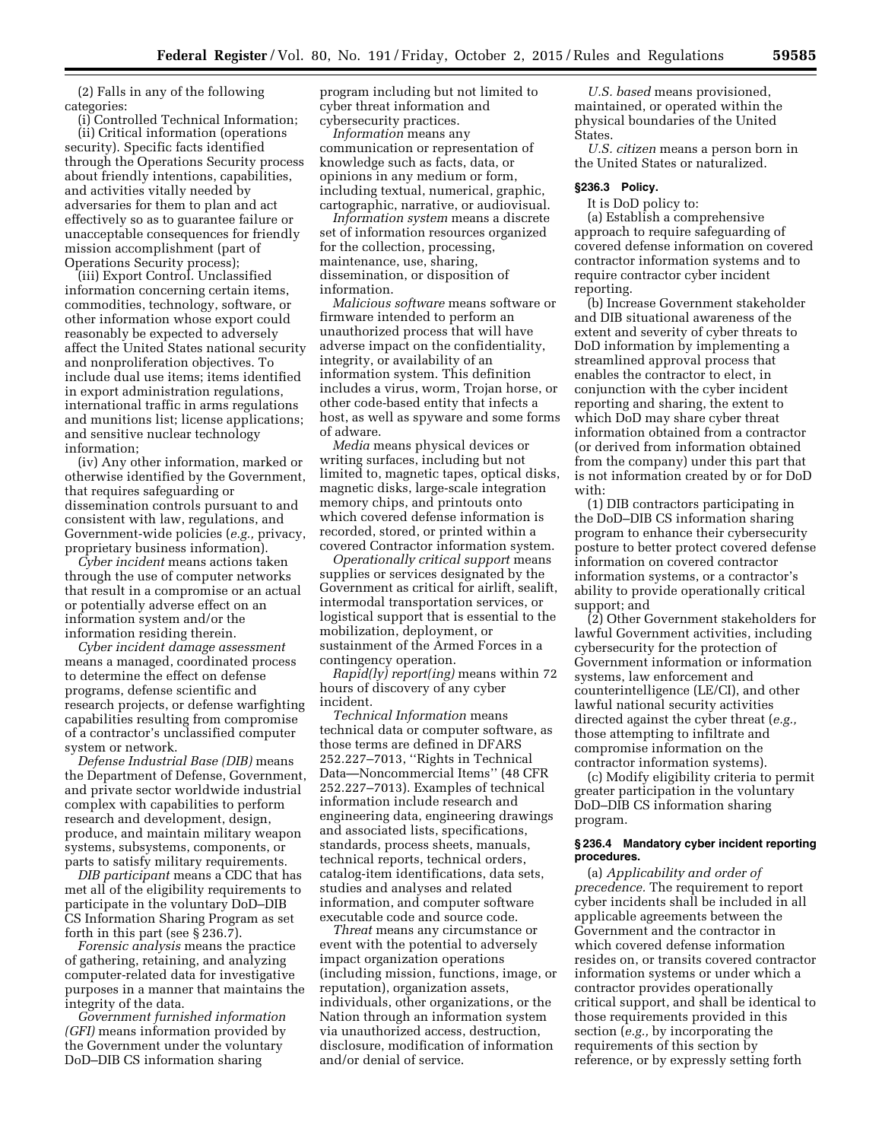(2) Falls in any of the following categories:

(i) Controlled Technical Information; (ii) Critical information (operations security). Specific facts identified through the Operations Security process about friendly intentions, capabilities, and activities vitally needed by adversaries for them to plan and act effectively so as to guarantee failure or unacceptable consequences for friendly mission accomplishment (part of Operations Security process);

(iii) Export Control. Unclassified information concerning certain items, commodities, technology, software, or other information whose export could reasonably be expected to adversely affect the United States national security and nonproliferation objectives. To include dual use items; items identified in export administration regulations, international traffic in arms regulations and munitions list; license applications; and sensitive nuclear technology information;

(iv) Any other information, marked or otherwise identified by the Government, that requires safeguarding or dissemination controls pursuant to and consistent with law, regulations, and Government-wide policies (*e.g.,* privacy, proprietary business information).

*Cyber incident* means actions taken through the use of computer networks that result in a compromise or an actual or potentially adverse effect on an information system and/or the information residing therein.

*Cyber incident damage assessment*  means a managed, coordinated process to determine the effect on defense programs, defense scientific and research projects, or defense warfighting capabilities resulting from compromise of a contractor's unclassified computer system or network.

*Defense Industrial Base (DIB)* means the Department of Defense, Government, and private sector worldwide industrial complex with capabilities to perform research and development, design, produce, and maintain military weapon systems, subsystems, components, or parts to satisfy military requirements.

*DIB participant* means a CDC that has met all of the eligibility requirements to participate in the voluntary DoD–DIB CS Information Sharing Program as set forth in this part (see § 236.7).

*Forensic analysis* means the practice of gathering, retaining, and analyzing computer-related data for investigative purposes in a manner that maintains the integrity of the data.

*Government furnished information (GFI)* means information provided by the Government under the voluntary DoD–DIB CS information sharing

program including but not limited to cyber threat information and cybersecurity practices.

*Information* means any communication or representation of knowledge such as facts, data, or opinions in any medium or form, including textual, numerical, graphic, cartographic, narrative, or audiovisual.

*Information system* means a discrete set of information resources organized for the collection, processing, maintenance, use, sharing, dissemination, or disposition of information.

*Malicious software* means software or firmware intended to perform an unauthorized process that will have adverse impact on the confidentiality, integrity, or availability of an information system. This definition includes a virus, worm, Trojan horse, or other code-based entity that infects a host, as well as spyware and some forms of adware.

*Media* means physical devices or writing surfaces, including but not limited to, magnetic tapes, optical disks, magnetic disks, large-scale integration memory chips, and printouts onto which covered defense information is recorded, stored, or printed within a covered Contractor information system.

*Operationally critical support* means supplies or services designated by the Government as critical for airlift, sealift, intermodal transportation services, or logistical support that is essential to the mobilization, deployment, or sustainment of the Armed Forces in a contingency operation.

*Rapid(ly) report(ing)* means within 72 hours of discovery of any cyber incident.

*Technical Information* means technical data or computer software, as those terms are defined in DFARS 252.227–7013, ''Rights in Technical Data—Noncommercial Items'' (48 CFR 252.227–7013). Examples of technical information include research and engineering data, engineering drawings and associated lists, specifications, standards, process sheets, manuals, technical reports, technical orders, catalog-item identifications, data sets, studies and analyses and related information, and computer software executable code and source code.

*Threat* means any circumstance or event with the potential to adversely impact organization operations (including mission, functions, image, or reputation), organization assets, individuals, other organizations, or the Nation through an information system via unauthorized access, destruction, disclosure, modification of information and/or denial of service.

*U.S. based* means provisioned, maintained, or operated within the physical boundaries of the United States.

*U.S. citizen* means a person born in the United States or naturalized.

# **§236.3 Policy.**

It is DoD policy to:

(a) Establish a comprehensive approach to require safeguarding of covered defense information on covered contractor information systems and to require contractor cyber incident reporting.

(b) Increase Government stakeholder and DIB situational awareness of the extent and severity of cyber threats to DoD information by implementing a streamlined approval process that enables the contractor to elect, in conjunction with the cyber incident reporting and sharing, the extent to which DoD may share cyber threat information obtained from a contractor (or derived from information obtained from the company) under this part that is not information created by or for DoD with:

(1) DIB contractors participating in the DoD–DIB CS information sharing program to enhance their cybersecurity posture to better protect covered defense information on covered contractor information systems, or a contractor's ability to provide operationally critical support; and

(2) Other Government stakeholders for lawful Government activities, including cybersecurity for the protection of Government information or information systems, law enforcement and counterintelligence (LE/CI), and other lawful national security activities directed against the cyber threat (*e.g.,*  those attempting to infiltrate and compromise information on the contractor information systems).

(c) Modify eligibility criteria to permit greater participation in the voluntary DoD–DIB CS information sharing program.

#### **§ 236.4 Mandatory cyber incident reporting procedures.**

(a) *Applicability and order of precedence.* The requirement to report cyber incidents shall be included in all applicable agreements between the Government and the contractor in which covered defense information resides on, or transits covered contractor information systems or under which a contractor provides operationally critical support, and shall be identical to those requirements provided in this section (*e.g.,* by incorporating the requirements of this section by reference, or by expressly setting forth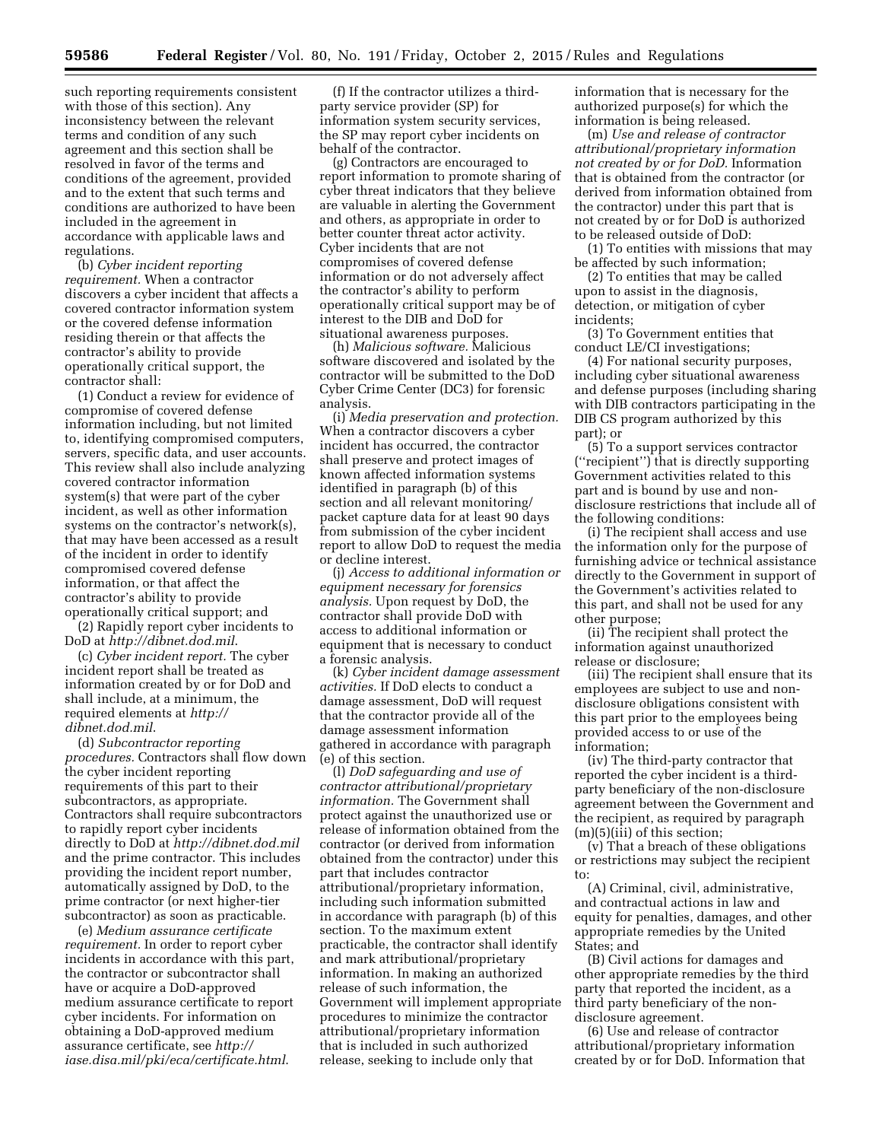such reporting requirements consistent with those of this section). Any inconsistency between the relevant terms and condition of any such agreement and this section shall be resolved in favor of the terms and conditions of the agreement, provided and to the extent that such terms and conditions are authorized to have been included in the agreement in accordance with applicable laws and regulations.

(b) *Cyber incident reporting requirement.* When a contractor discovers a cyber incident that affects a covered contractor information system or the covered defense information residing therein or that affects the contractor's ability to provide operationally critical support, the contractor shall:

(1) Conduct a review for evidence of compromise of covered defense information including, but not limited to, identifying compromised computers, servers, specific data, and user accounts. This review shall also include analyzing covered contractor information system(s) that were part of the cyber incident, as well as other information systems on the contractor's network(s), that may have been accessed as a result of the incident in order to identify compromised covered defense information, or that affect the contractor's ability to provide operationally critical support; and

(2) Rapidly report cyber incidents to DoD at *<http://dibnet.dod.mil>*.

(c) *Cyber incident report.* The cyber incident report shall be treated as information created by or for DoD and shall include, at a minimum, the required elements at *[http://](http://dibnet.dod.mil) [dibnet.dod.mil](http://dibnet.dod.mil)*.

(d) *Subcontractor reporting procedures.* Contractors shall flow down the cyber incident reporting requirements of this part to their subcontractors, as appropriate. Contractors shall require subcontractors to rapidly report cyber incidents directly to DoD at *<http://dibnet.dod.mil>* and the prime contractor. This includes providing the incident report number, automatically assigned by DoD, to the prime contractor (or next higher-tier subcontractor) as soon as practicable.

(e) *Medium assurance certificate requirement.* In order to report cyber incidents in accordance with this part, the contractor or subcontractor shall have or acquire a DoD-approved medium assurance certificate to report cyber incidents. For information on obtaining a DoD-approved medium assurance certificate, see *[http://](http://iase.disa.mil/pki/eca/certificate.html) [iase.disa.mil/pki/eca/certificate.html](http://iase.disa.mil/pki/eca/certificate.html)*.

(f) If the contractor utilizes a thirdparty service provider (SP) for information system security services, the SP may report cyber incidents on behalf of the contractor.

(g) Contractors are encouraged to report information to promote sharing of cyber threat indicators that they believe are valuable in alerting the Government and others, as appropriate in order to better counter threat actor activity. Cyber incidents that are not compromises of covered defense information or do not adversely affect the contractor's ability to perform operationally critical support may be of interest to the DIB and DoD for situational awareness purposes.

(h) *Malicious software.* Malicious software discovered and isolated by the contractor will be submitted to the DoD Cyber Crime Center (DC3) for forensic analysis.

(i) *Media preservation and protection.*  When a contractor discovers a cyber incident has occurred, the contractor shall preserve and protect images of known affected information systems identified in paragraph (b) of this section and all relevant monitoring/ packet capture data for at least 90 days from submission of the cyber incident report to allow DoD to request the media or decline interest.

(j) *Access to additional information or equipment necessary for forensics analysis.* Upon request by DoD, the contractor shall provide DoD with access to additional information or equipment that is necessary to conduct a forensic analysis.

(k) *Cyber incident damage assessment activities.* If DoD elects to conduct a damage assessment, DoD will request that the contractor provide all of the damage assessment information gathered in accordance with paragraph (e) of this section.

(l) *DoD safeguarding and use of contractor attributional/proprietary information.* The Government shall protect against the unauthorized use or release of information obtained from the contractor (or derived from information obtained from the contractor) under this part that includes contractor attributional/proprietary information, including such information submitted in accordance with paragraph (b) of this section. To the maximum extent practicable, the contractor shall identify and mark attributional/proprietary information. In making an authorized release of such information, the Government will implement appropriate procedures to minimize the contractor attributional/proprietary information that is included in such authorized release, seeking to include only that

information that is necessary for the authorized purpose(s) for which the information is being released.

(m) *Use and release of contractor attributional/proprietary information not created by or for DoD.* Information that is obtained from the contractor (or derived from information obtained from the contractor) under this part that is not created by or for DoD is authorized to be released outside of DoD:

(1) To entities with missions that may be affected by such information;

(2) To entities that may be called upon to assist in the diagnosis, detection, or mitigation of cyber incidents;

(3) To Government entities that conduct LE/CI investigations;

(4) For national security purposes, including cyber situational awareness and defense purposes (including sharing with DIB contractors participating in the DIB CS program authorized by this part); or

(5) To a support services contractor (''recipient'') that is directly supporting Government activities related to this part and is bound by use and nondisclosure restrictions that include all of the following conditions:

(i) The recipient shall access and use the information only for the purpose of furnishing advice or technical assistance directly to the Government in support of the Government's activities related to this part, and shall not be used for any other purpose;

(ii) The recipient shall protect the information against unauthorized release or disclosure;

(iii) The recipient shall ensure that its employees are subject to use and nondisclosure obligations consistent with this part prior to the employees being provided access to or use of the information;

(iv) The third-party contractor that reported the cyber incident is a thirdparty beneficiary of the non-disclosure agreement between the Government and the recipient, as required by paragraph (m)(5)(iii) of this section;

(v) That a breach of these obligations or restrictions may subject the recipient to:

(A) Criminal, civil, administrative, and contractual actions in law and equity for penalties, damages, and other appropriate remedies by the United States; and

(B) Civil actions for damages and other appropriate remedies by the third party that reported the incident, as a third party beneficiary of the nondisclosure agreement.

(6) Use and release of contractor attributional/proprietary information created by or for DoD. Information that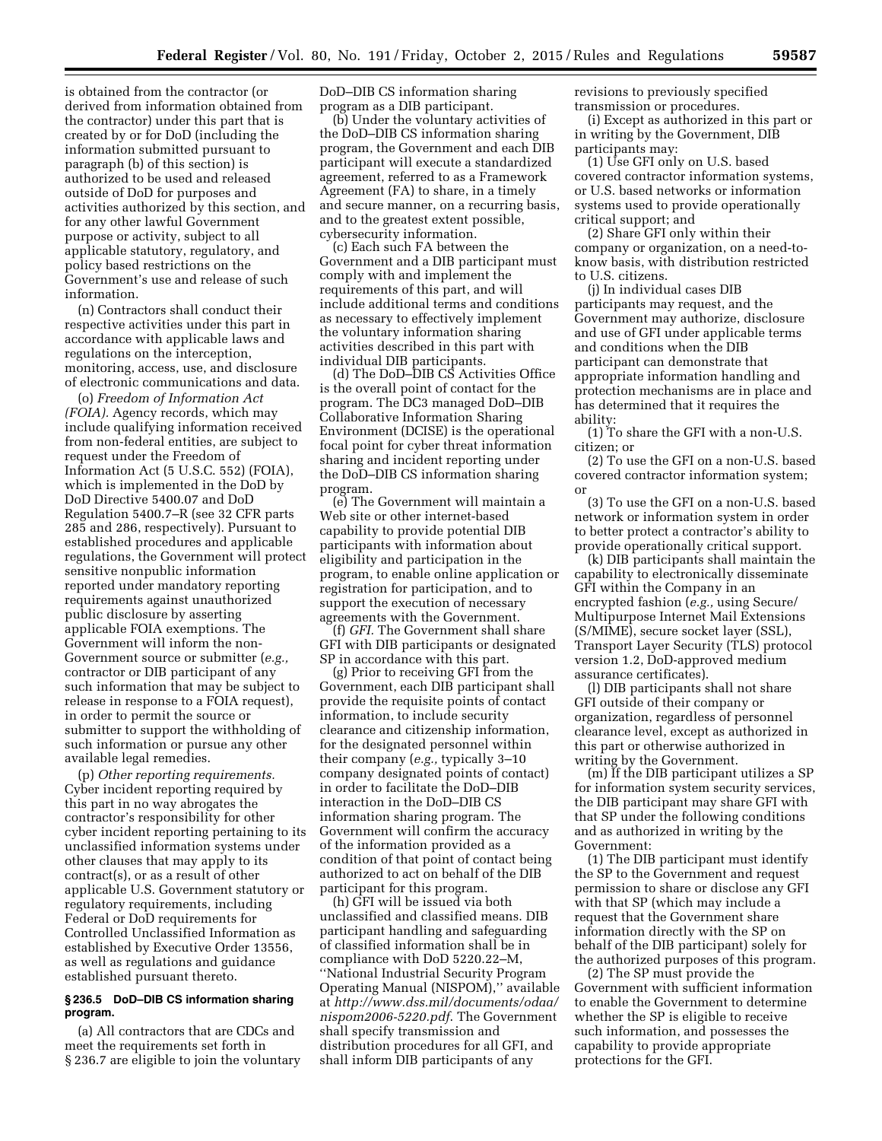is obtained from the contractor (or derived from information obtained from the contractor) under this part that is created by or for DoD (including the information submitted pursuant to paragraph (b) of this section) is authorized to be used and released outside of DoD for purposes and activities authorized by this section, and for any other lawful Government purpose or activity, subject to all applicable statutory, regulatory, and policy based restrictions on the Government's use and release of such information.

(n) Contractors shall conduct their respective activities under this part in accordance with applicable laws and regulations on the interception, monitoring, access, use, and disclosure of electronic communications and data.

(o) *Freedom of Information Act (FOIA).* Agency records, which may include qualifying information received from non-federal entities, are subject to request under the Freedom of Information Act (5 U.S.C. 552) (FOIA), which is implemented in the DoD by DoD Directive 5400.07 and DoD Regulation 5400.7–R (see 32 CFR parts 285 and 286, respectively). Pursuant to established procedures and applicable regulations, the Government will protect sensitive nonpublic information reported under mandatory reporting requirements against unauthorized public disclosure by asserting applicable FOIA exemptions. The Government will inform the non-Government source or submitter (*e.g.,*  contractor or DIB participant of any such information that may be subject to release in response to a FOIA request), in order to permit the source or submitter to support the withholding of such information or pursue any other available legal remedies.

(p) *Other reporting requirements.*  Cyber incident reporting required by this part in no way abrogates the contractor's responsibility for other cyber incident reporting pertaining to its unclassified information systems under other clauses that may apply to its contract(s), or as a result of other applicable U.S. Government statutory or regulatory requirements, including Federal or DoD requirements for Controlled Unclassified Information as established by Executive Order 13556, as well as regulations and guidance established pursuant thereto.

### **§ 236.5 DoD–DIB CS information sharing program.**

(a) All contractors that are CDCs and meet the requirements set forth in § 236.7 are eligible to join the voluntary DoD–DIB CS information sharing program as a DIB participant.

(b) Under the voluntary activities of the DoD–DIB CS information sharing program, the Government and each DIB participant will execute a standardized agreement, referred to as a Framework Agreement (FA) to share, in a timely and secure manner, on a recurring basis, and to the greatest extent possible, cybersecurity information.

(c) Each such FA between the Government and a DIB participant must comply with and implement the requirements of this part, and will include additional terms and conditions as necessary to effectively implement the voluntary information sharing activities described in this part with individual DIB participants.

(d) The DoD–DIB CS Activities Office is the overall point of contact for the program. The DC3 managed DoD–DIB Collaborative Information Sharing Environment (DCISE) is the operational focal point for cyber threat information sharing and incident reporting under the DoD–DIB CS information sharing program.

(e) The Government will maintain a Web site or other internet-based capability to provide potential DIB participants with information about eligibility and participation in the program, to enable online application or registration for participation, and to support the execution of necessary agreements with the Government.

(f) *GFI.* The Government shall share GFI with DIB participants or designated SP in accordance with this part.

(g) Prior to receiving GFI from the Government, each DIB participant shall provide the requisite points of contact information, to include security clearance and citizenship information, for the designated personnel within their company (*e.g.,* typically 3–10 company designated points of contact) in order to facilitate the DoD–DIB interaction in the DoD–DIB CS information sharing program. The Government will confirm the accuracy of the information provided as a condition of that point of contact being authorized to act on behalf of the DIB participant for this program.

(h) GFI will be issued via both unclassified and classified means. DIB participant handling and safeguarding of classified information shall be in compliance with DoD 5220.22–M, ''National Industrial Security Program Operating Manual (NISPOM),'' available at *[http://www.dss.mil/documents/odaa/](http://www.dss.mil/documents/odaa/nispom2006-5220.pdf) [nispom2006-5220.pdf](http://www.dss.mil/documents/odaa/nispom2006-5220.pdf)*. The Government shall specify transmission and distribution procedures for all GFI, and shall inform DIB participants of any

revisions to previously specified transmission or procedures.

(i) Except as authorized in this part or in writing by the Government, DIB participants may:

(1) Use GFI only on U.S. based covered contractor information systems, or U.S. based networks or information systems used to provide operationally critical support; and

(2) Share GFI only within their company or organization, on a need-toknow basis, with distribution restricted to U.S. citizens.

(j) In individual cases DIB participants may request, and the Government may authorize, disclosure and use of GFI under applicable terms and conditions when the DIB participant can demonstrate that appropriate information handling and protection mechanisms are in place and has determined that it requires the ability:

(1) To share the GFI with a non-U.S. citizen; or

(2) To use the GFI on a non-U.S. based covered contractor information system; or

(3) To use the GFI on a non-U.S. based network or information system in order to better protect a contractor's ability to provide operationally critical support.

(k) DIB participants shall maintain the capability to electronically disseminate GFI within the Company in an encrypted fashion (*e.g.,* using Secure/ Multipurpose Internet Mail Extensions (S/MIME), secure socket layer (SSL), Transport Layer Security (TLS) protocol version 1.2, DoD-approved medium assurance certificates).

(l) DIB participants shall not share GFI outside of their company or organization, regardless of personnel clearance level, except as authorized in this part or otherwise authorized in writing by the Government.

(m) If the DIB participant utilizes a SP for information system security services, the DIB participant may share GFI with that SP under the following conditions and as authorized in writing by the Government:

(1) The DIB participant must identify the SP to the Government and request permission to share or disclose any GFI with that SP (which may include a request that the Government share information directly with the SP on behalf of the DIB participant) solely for the authorized purposes of this program.

(2) The SP must provide the Government with sufficient information to enable the Government to determine whether the SP is eligible to receive such information, and possesses the capability to provide appropriate protections for the GFI.